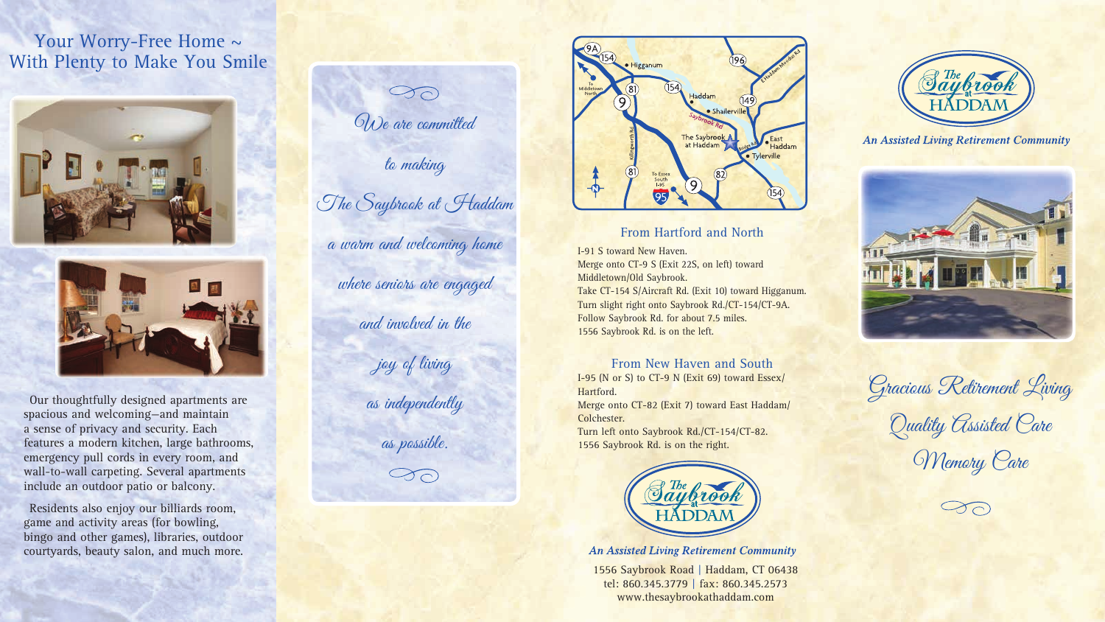1556 Saybrook Road | Haddam, CT 06438 tel: 860.345.3779 | fax: 860.345.2573 www.thesaybrookathaddam.com



## **An Assisted Living Retirement Community**



Our thoughtfully designed apartments are spacious and welcoming—and maintain a sense of privacy and security. Each features a modern kitchen, large bathrooms, emergency pull cords in every room, and wall-to-wall carpeting. Several apartments include an outdoor patio or balcony.

# Your Worry-Free Home  $\sim$ With Plenty to Make You Smile





Residents also enjoy our billiards room, game and activity areas (for bowling, bingo and other games), libraries, outdoor courtyards, beauty salon, and much more.

 $\bigcirc$ We are committed to making The Saybrook at **Haddam** a warm and welcoming home where seniors are engaged and involved in the joy of living as independently as possible. $\bigcirc$ 



## From Hartford and North

I-91 S toward New Haven. Merge onto CT-9 S (Exit 22S, on left) toward Middletown/Old Saybrook. Take CT-154 S/Aircraft Rd. (Exit 10) toward Higganum. Turn slight right onto Saybrook Rd./CT-154/CT-9A. Follow Saybrook Rd. for about 7.5 miles. 1556 Saybrook Rd. is on the left.

## From New Haven and South

I-95 (N or S) to CT-9 N (Exit 69) toward Essex/ Hartford. Merge onto CT-82 (Exit 7) toward East Haddam/ Colchester. Turn left onto Saybrook Rd./CT-154/CT-82. 1556 Saybrook Rd. is on the right.



**An Assisted Living Retirement Community** 

Gracious Retirement Living

Quality Assisted Care

**Memory Care**